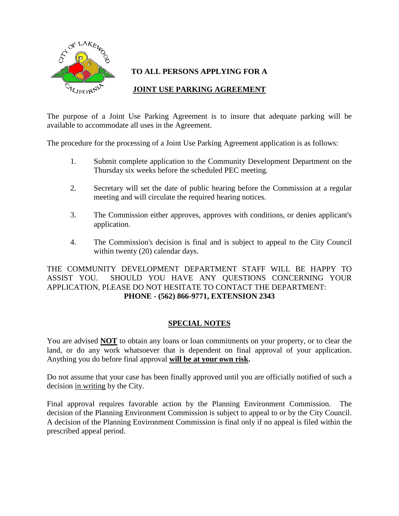

# **TO ALL PERSONS APPLYING FOR A**

# **JOINT USE PARKING AGREEMENT**

The purpose of a Joint Use Parking Agreement is to insure that adequate parking will be available to accommodate all uses in the Agreement.

The procedure for the processing of a Joint Use Parking Agreement application is as follows:

- 1. Submit complete application to the Community Development Department on the Thursday six weeks before the scheduled PEC meeting.
- 2. Secretary will set the date of public hearing before the Commission at a regular meeting and will circulate the required hearing notices.
- 3. The Commission either approves, approves with conditions, or denies applicant's application.
- 4. The Commission's decision is final and is subject to appeal to the City Council within twenty (20) calendar days.

THE COMMUNITY DEVELOPMENT DEPARTMENT STAFF WILL BE HAPPY TO ASSIST YOU. SHOULD YOU HAVE ANY QUESTIONS CONCERNING YOUR APPLICATION, PLEASE DO NOT HESITATE TO CONTACT THE DEPARTMENT: **PHONE - (562) 866-9771, EXTENSION 2343**

### **SPECIAL NOTES**

You are advised **NOT** to obtain any loans or loan commitments on your property, or to clear the land, or do any work whatsoever that is dependent on final approval of your application. Anything you do before final approval **will be at your own risk.**

Do not assume that your case has been finally approved until you are officially notified of such a decision in writing by the City.

Final approval requires favorable action by the Planning Environment Commission. The decision of the Planning Environment Commission is subject to appeal to or by the City Council. A decision of the Planning Environment Commission is final only if no appeal is filed within the prescribed appeal period.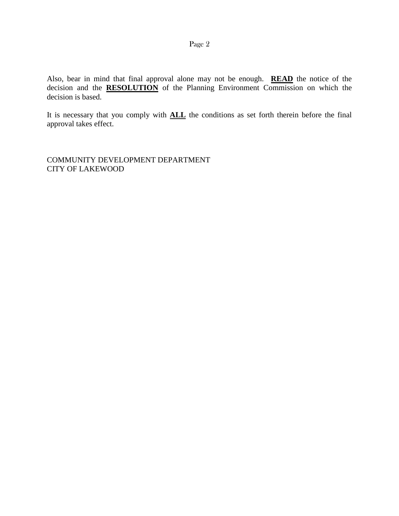Also, bear in mind that final approval alone may not be enough. **READ** the notice of the decision and the **RESOLUTION** of the Planning Environment Commission on which the decision is based.

It is necessary that you comply with **ALL** the conditions as set forth therein before the final approval takes effect.

COMMUNITY DEVELOPMENT DEPARTMENT CITY OF LAKEWOOD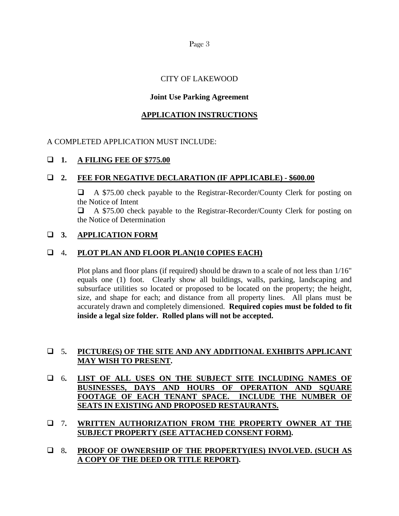Page 3

# CITY OF LAKEWOOD

## **Joint Use Parking Agreement**

### **APPLICATION INSTRUCTIONS**

### A COMPLETED APPLICATION MUST INCLUDE:

### **1. A FILING FEE OF \$775.00**

## **2. FEE FOR NEGATIVE DECLARATION (IF APPLICABLE) - \$600.00**

 A \$75.00 check payable to the Registrar-Recorder/County Clerk for posting on the Notice of Intent

 A \$75.00 check payable to the Registrar-Recorder/County Clerk for posting on the Notice of Determination

### **3. APPLICATION FORM**

## 4**. PLOT PLAN AND FLOOR PLAN(10 COPIES EACH)**

Plot plans and floor plans (if required) should be drawn to a scale of not less than 1/16" equals one (1) foot. Clearly show all buildings, walls, parking, landscaping and subsurface utilities so located or proposed to be located on the property; the height, size, and shape for each; and distance from all property lines. All plans must be accurately drawn and completely dimensioned. **Required copies must be folded to fit inside a legal size folder. Rolled plans will not be accepted.**

# 5**. PICTURE(S) OF THE SITE AND ANY ADDITIONAL EXHIBITS APPLICANT MAY WISH TO PRESENT.**

- 6**. LIST OF ALL USES ON THE SUBJECT SITE INCLUDING NAMES OF BUSINESSES, DAYS AND HOURS OF OPERATION AND SQUARE FOOTAGE OF EACH TENANT SPACE. INCLUDE THE NUMBER OF SEATS IN EXISTING AND PROPOSED RESTAURANTS.**
- 7**. WRITTEN AUTHORIZATION FROM THE PROPERTY OWNER AT THE SUBJECT PROPERTY (SEE ATTACHED CONSENT FORM).**
- 8**. PROOF OF OWNERSHIP OF THE PROPERTY(IES) INVOLVED. (SUCH AS A COPY OF THE DEED OR TITLE REPORT).**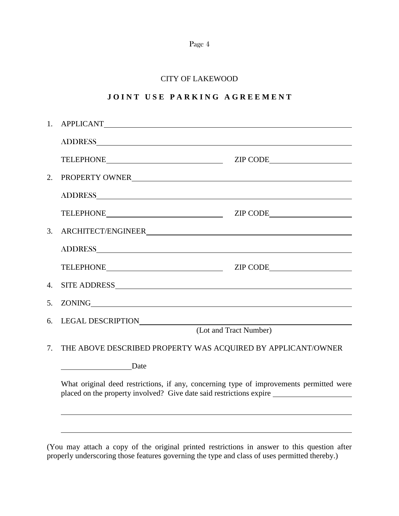|--|--|

## CITY OF LAKEWOOD

# **J O I N T U S E P A R K I N G A G R E E M E N T**

| 1.                                                                                                                                                             |                                                                                                                                                                                                                                |          |  |  |
|----------------------------------------------------------------------------------------------------------------------------------------------------------------|--------------------------------------------------------------------------------------------------------------------------------------------------------------------------------------------------------------------------------|----------|--|--|
|                                                                                                                                                                | ADDRESS CONSERVED AND RESERVED ON A SERIES AND RESERVED ON A SERIES OF STREET OF STREET AND RESERVED ON A SERIES OF STREET OF STREET AND RESERVED ON A SERIES OF STREET OF STREET AND RESPONDING OF STREET AND RESPONDING ON A |          |  |  |
|                                                                                                                                                                |                                                                                                                                                                                                                                | ZIP CODE |  |  |
| 2.                                                                                                                                                             | PROPERTY OWNER                                                                                                                                                                                                                 |          |  |  |
|                                                                                                                                                                |                                                                                                                                                                                                                                |          |  |  |
|                                                                                                                                                                | TELEPHONE ZIP CODE                                                                                                                                                                                                             |          |  |  |
| 3.                                                                                                                                                             |                                                                                                                                                                                                                                |          |  |  |
|                                                                                                                                                                |                                                                                                                                                                                                                                |          |  |  |
|                                                                                                                                                                | TELEPHONE PRODUCED AND THE CONTROL CONTROL CONTROL CONTROL CONTROL CONTROL CONTROL CONTROL CONTROL CONTROL CONTROL CONTROL CONTROL CONTROL CONTROL CONTROL CONTROL CONTROL CONTROL CONTROL CONTROL CONTROL CONTROL CONTROL CON | ZIP CODE |  |  |
| $\overline{4}$ .                                                                                                                                               | SITE ADDRESS                                                                                                                                                                                                                   |          |  |  |
| 5.                                                                                                                                                             |                                                                                                                                                                                                                                |          |  |  |
| 6.                                                                                                                                                             | LEGAL DESCRIPTION<br>(Lot and Tract Number)                                                                                                                                                                                    |          |  |  |
| 7.                                                                                                                                                             | THE ABOVE DESCRIBED PROPERTY WAS ACQUIRED BY APPLICANT/OWNER                                                                                                                                                                   |          |  |  |
|                                                                                                                                                                | Date                                                                                                                                                                                                                           |          |  |  |
| What original deed restrictions, if any, concerning type of improvements permitted were<br>placed on the property involved? Give date said restrictions expire |                                                                                                                                                                                                                                |          |  |  |
|                                                                                                                                                                |                                                                                                                                                                                                                                |          |  |  |

(You may attach a copy of the original printed restrictions in answer to this question after properly underscoring those features governing the type and class of uses permitted thereby.)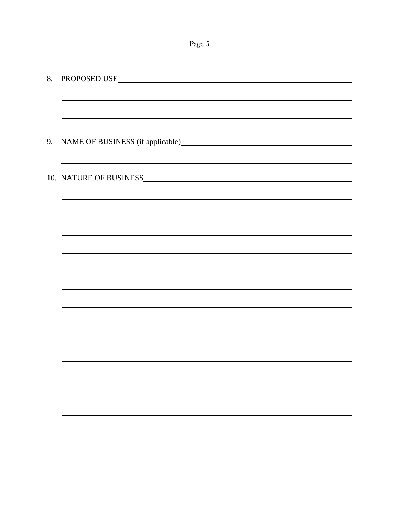Page 5

| 8. | PROPOSED USE                                                                                                          |  |  |  |
|----|-----------------------------------------------------------------------------------------------------------------------|--|--|--|
|    |                                                                                                                       |  |  |  |
|    |                                                                                                                       |  |  |  |
|    |                                                                                                                       |  |  |  |
|    | 9. NAME OF BUSINESS (if applicable)                                                                                   |  |  |  |
|    | <u> 1989 - Johann Stoff, amerikansk politiker (d. 1989)</u>                                                           |  |  |  |
|    | 10. NATURE OF BUSINESS                                                                                                |  |  |  |
|    |                                                                                                                       |  |  |  |
|    |                                                                                                                       |  |  |  |
|    | <u> 1989 - Johann Stoff, deutscher Stoffen und der Stoffen und der Stoffen und der Stoffen und der Stoffen und de</u> |  |  |  |
|    |                                                                                                                       |  |  |  |
|    |                                                                                                                       |  |  |  |
|    |                                                                                                                       |  |  |  |
|    |                                                                                                                       |  |  |  |
|    |                                                                                                                       |  |  |  |
|    |                                                                                                                       |  |  |  |
|    |                                                                                                                       |  |  |  |
|    | ,我们也不会有什么。""我们的人,我们也不会有什么?""我们的人,我们也不会有什么?""我们的人,我们也不会有什么?""我们的人,我们也不会有什么?""我们的人                                      |  |  |  |
|    |                                                                                                                       |  |  |  |
|    |                                                                                                                       |  |  |  |
|    |                                                                                                                       |  |  |  |
|    |                                                                                                                       |  |  |  |
|    |                                                                                                                       |  |  |  |
|    |                                                                                                                       |  |  |  |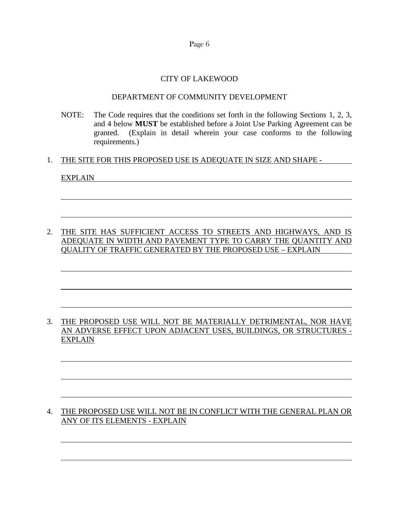Page 6

### CITY OF LAKEWOOD

#### DEPARTMENT OF COMMUNITY DEVELOPMENT

NOTE: The Code requires that the conditions set forth in the following Sections 1, 2, 3, and 4 below **MUST** be established before a Joint Use Parking Agreement can be granted. (Explain in detail wherein your case conforms to the following requirements.)

### 1. THE SITE FOR THIS PROPOSED USE IS ADEQUATE IN SIZE AND SHAPE -

### EXPLAIN

2. THE SITE HAS SUFFICIENT ACCESS TO STREETS AND HIGHWAYS, AND IS ADEQUATE IN WIDTH AND PAVEMENT TYPE TO CARRY THE QUANTITY AND QUALITY OF TRAFFIC GENERATED BY THE PROPOSED USE – EXPLAIN

### 3. THE PROPOSED USE WILL NOT BE MATERIALLY DETRIMENTAL, NOR HAVE AN ADVERSE EFFECT UPON ADJACENT USES, BUILDINGS, OR STRUCTURES - EXPLAIN

## 4. THE PROPOSED USE WILL NOT BE IN CONFLICT WITH THE GENERAL PLAN OR ANY OF ITS ELEMENTS - EXPLAIN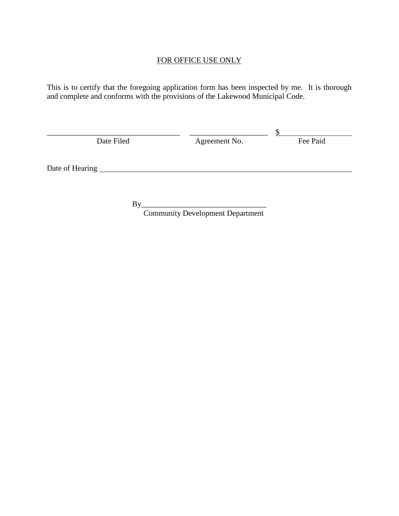# FOR OFFICE USE ONLY

This is to certify that the foregoing application form has been inspected by me. It is thorough and complete and conforms with the provisions of the Lakewood Municipal Code.

| Date Filed      | Agreement No. | Fee Paid |
|-----------------|---------------|----------|
|                 |               |          |
| Date of Hearing |               |          |

By\_\_\_\_\_\_\_\_\_\_\_\_\_\_\_\_\_\_\_\_\_\_\_\_\_\_\_\_\_\_\_\_ Community Development Department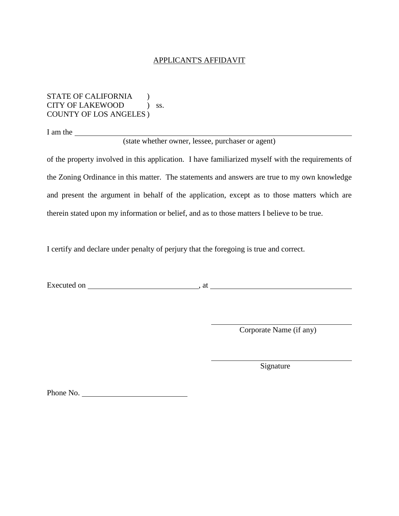#### APPLICANT'S AFFIDAVIT

STATE OF CALIFORNIA (1) CITY OF LAKEWOOD ) ss. COUNTY OF LOS ANGELES )

I am the

(state whether owner, lessee, purchaser or agent)

of the property involved in this application. I have familiarized myself with the requirements of the Zoning Ordinance in this matter. The statements and answers are true to my own knowledge and present the argument in behalf of the application, except as to those matters which are therein stated upon my information or belief, and as to those matters I believe to be true.

I certify and declare under penalty of perjury that the foregoing is true and correct.

Executed on , at

Corporate Name (if any)

Signature

Phone No.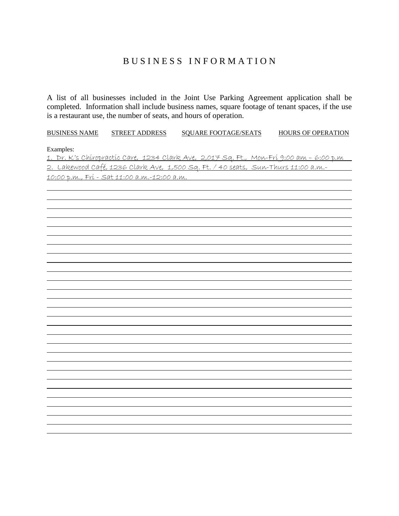# B U S I N E S S I N F O R M A T I O N

A list of all businesses included in the Joint Use Parking Agreement application shall be completed. Information shall include business names, square footage of tenant spaces, if the use is a restaurant use, the number of seats, and hours of operation.

| <b>BUSINESS NAME</b>                                                                                        | <b>STREET ADDRESS</b> | <b>SQUARE FOOTAGE/SEATS</b> | <b>HOURS OF OPERATION</b> |  |  |  |  |
|-------------------------------------------------------------------------------------------------------------|-----------------------|-----------------------------|---------------------------|--|--|--|--|
| Examples:<br><u>1. Dr. K's Chiropractic Care, 1234 Clark Ave, 2,017 Sq. Ft., Mon-Fri 9:00 am - 6:00 p.m</u> |                       |                             |                           |  |  |  |  |
| 2. Lakewood Café, 1236 Clark Ave, 1,500 Sq. Ft. / 40 seats, Sun-Thurs 11:00 a.m.-                           |                       |                             |                           |  |  |  |  |
| <u> 10:00 p.m., Frí - Sat 11:00 a.m.-12:00 a.m.   </u>                                                      |                       |                             |                           |  |  |  |  |
|                                                                                                             |                       |                             |                           |  |  |  |  |
|                                                                                                             |                       |                             |                           |  |  |  |  |
|                                                                                                             |                       |                             |                           |  |  |  |  |
|                                                                                                             |                       |                             |                           |  |  |  |  |
|                                                                                                             |                       |                             |                           |  |  |  |  |
|                                                                                                             |                       |                             |                           |  |  |  |  |
|                                                                                                             |                       |                             |                           |  |  |  |  |
|                                                                                                             |                       |                             |                           |  |  |  |  |
|                                                                                                             |                       |                             |                           |  |  |  |  |
|                                                                                                             |                       |                             |                           |  |  |  |  |
|                                                                                                             |                       |                             |                           |  |  |  |  |
|                                                                                                             |                       |                             |                           |  |  |  |  |
|                                                                                                             |                       |                             |                           |  |  |  |  |
|                                                                                                             |                       |                             |                           |  |  |  |  |
|                                                                                                             |                       |                             |                           |  |  |  |  |
|                                                                                                             |                       |                             |                           |  |  |  |  |
|                                                                                                             |                       |                             |                           |  |  |  |  |
|                                                                                                             |                       |                             |                           |  |  |  |  |
|                                                                                                             |                       |                             |                           |  |  |  |  |
|                                                                                                             |                       |                             |                           |  |  |  |  |
|                                                                                                             |                       |                             |                           |  |  |  |  |
|                                                                                                             |                       |                             |                           |  |  |  |  |
|                                                                                                             |                       |                             |                           |  |  |  |  |
|                                                                                                             |                       |                             |                           |  |  |  |  |
|                                                                                                             |                       |                             |                           |  |  |  |  |
|                                                                                                             |                       |                             |                           |  |  |  |  |